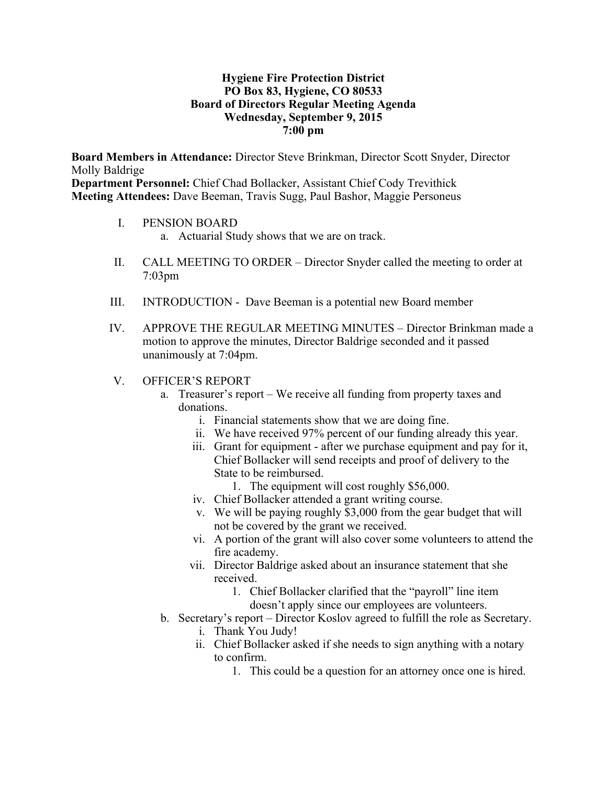### **Hygiene Fire Protection District PO Box 83, Hygiene, CO 80533 Board of Directors Regular Meeting Agenda Wednesday, September 9, 2015 7:00 pm**

**Board Members in Attendance:** Director Steve Brinkman, Director Scott Snyder, Director Molly Baldrige **Department Personnel:** Chief Chad Bollacker, Assistant Chief Cody Trevithick

**Meeting Attendees:** Dave Beeman, Travis Sugg, Paul Bashor, Maggie Personeus

- I. PENSION BOARD
	- a. Actuarial Study shows that we are on track.
- II. CALL MEETING TO ORDER Director Snyder called the meeting to order at 7:03pm
- III. INTRODUCTION Dave Beeman is a potential new Board member
- IV. APPROVE THE REGULAR MEETING MINUTES Director Brinkman made a motion to approve the minutes, Director Baldrige seconded and it passed unanimously at 7:04pm.
- V. OFFICER'S REPORT
	- a. Treasurer's report We receive all funding from property taxes and donations.
		- i. Financial statements show that we are doing fine.
		- ii. We have received 97% percent of our funding already this year.
		- iii. Grant for equipment after we purchase equipment and pay for it, Chief Bollacker will send receipts and proof of delivery to the State to be reimbursed.
			- 1. The equipment will cost roughly \$56,000.
		- iv. Chief Bollacker attended a grant writing course.
		- v. We will be paying roughly \$3,000 from the gear budget that will not be covered by the grant we received.
		- vi. A portion of the grant will also cover some volunteers to attend the fire academy.
		- vii. Director Baldrige asked about an insurance statement that she received.
			- 1. Chief Bollacker clarified that the "payroll" line item doesn't apply since our employees are volunteers.
	- b. Secretary's report Director Koslov agreed to fulfill the role as Secretary.
		- i. Thank You Judy!
		- ii. Chief Bollacker asked if she needs to sign anything with a notary to confirm.
			- 1. This could be a question for an attorney once one is hired.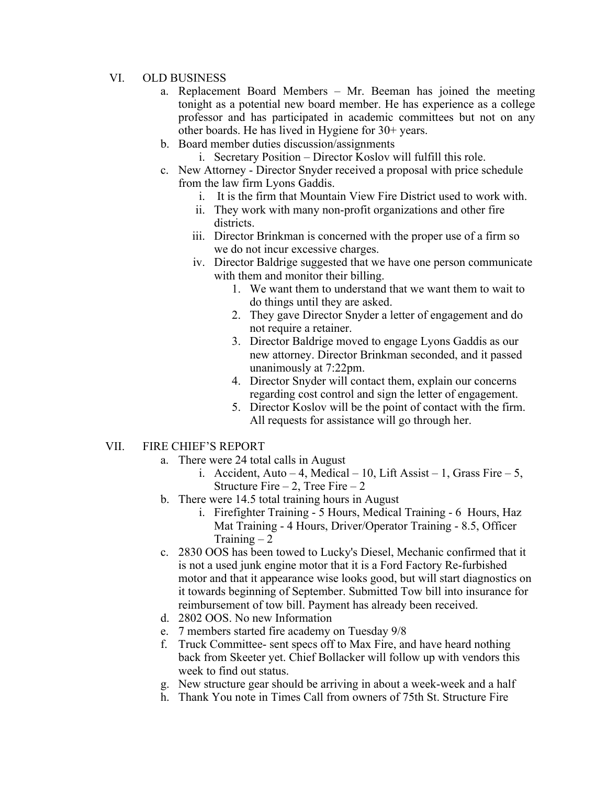#### VI. OLD BUSINESS

- a. Replacement Board Members Mr. Beeman has joined the meeting tonight as a potential new board member. He has experience as a college professor and has participated in academic committees but not on any other boards. He has lived in Hygiene for 30+ years.
- b. Board member duties discussion/assignments
	- i. Secretary Position Director Koslov will fulfill this role.
- c. New Attorney Director Snyder received a proposal with price schedule from the law firm Lyons Gaddis.
	- i. It is the firm that Mountain View Fire District used to work with.
	- ii. They work with many non-profit organizations and other fire districts.
	- iii. Director Brinkman is concerned with the proper use of a firm so we do not incur excessive charges.
	- iv. Director Baldrige suggested that we have one person communicate with them and monitor their billing.
		- 1. We want them to understand that we want them to wait to do things until they are asked.
		- 2. They gave Director Snyder a letter of engagement and do not require a retainer.
		- 3. Director Baldrige moved to engage Lyons Gaddis as our new attorney. Director Brinkman seconded, and it passed unanimously at 7:22pm.
		- 4. Director Snyder will contact them, explain our concerns regarding cost control and sign the letter of engagement.
		- 5. Director Koslov will be the point of contact with the firm. All requests for assistance will go through her.
- VII. FIRE CHIEF'S REPORT
	- a. There were 24 total calls in August
		- i. Accident, Auto 4, Medical 10, Lift Assist 1, Grass Fire 5, Structure Fire  $-2$ , Tree Fire  $-2$
	- b. There were 14.5 total training hours in August
		- i. Firefighter Training 5 Hours, Medical Training 6 Hours, Haz Mat Training - 4 Hours, Driver/Operator Training - 8.5, Officer Training  $-2$
	- c. 2830 OOS has been towed to Lucky's Diesel, Mechanic confirmed that it is not a used junk engine motor that it is a Ford Factory Re-furbished motor and that it appearance wise looks good, but will start diagnostics on it towards beginning of September. Submitted Tow bill into insurance for reimbursement of tow bill. Payment has already been received.
	- d. 2802 OOS. No new Information
	- e. 7 members started fire academy on Tuesday 9/8
	- f. Truck Committee- sent specs off to Max Fire, and have heard nothing back from Skeeter yet. Chief Bollacker will follow up with vendors this week to find out status.
	- g. New structure gear should be arriving in about a week-week and a half
	- h. Thank You note in Times Call from owners of 75th St. Structure Fire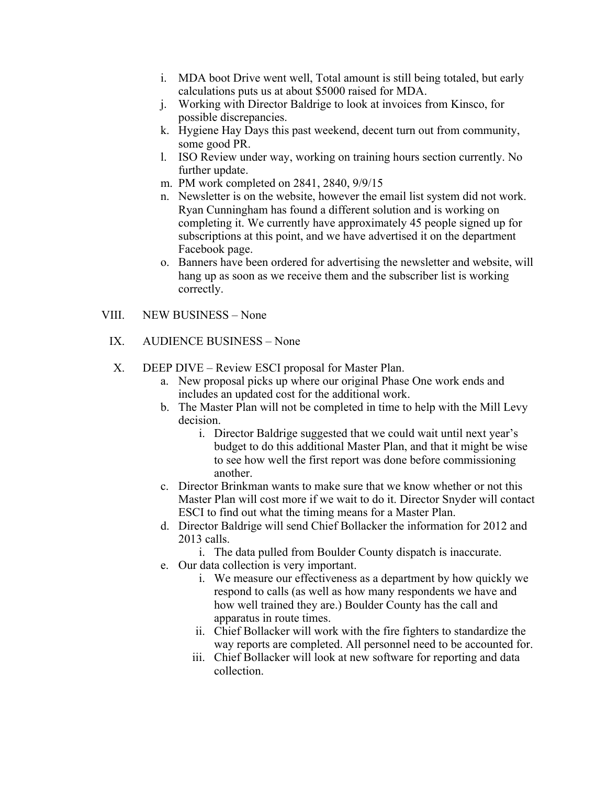- i. MDA boot Drive went well, Total amount is still being totaled, but early calculations puts us at about \$5000 raised for MDA.
- j. Working with Director Baldrige to look at invoices from Kinsco, for possible discrepancies.
- k. Hygiene Hay Days this past weekend, decent turn out from community, some good PR.
- l. ISO Review under way, working on training hours section currently. No further update.
- m. PM work completed on 2841, 2840, 9/9/15
- n. Newsletter is on the website, however the email list system did not work. Ryan Cunningham has found a different solution and is working on completing it. We currently have approximately 45 people signed up for subscriptions at this point, and we have advertised it on the department Facebook page.
- o. Banners have been ordered for advertising the newsletter and website, will hang up as soon as we receive them and the subscriber list is working correctly.

### VIII. NEW BUSINESS – None

## IX. AUDIENCE BUSINESS – None

- X. DEEP DIVE Review ESCI proposal for Master Plan.
	- a. New proposal picks up where our original Phase One work ends and includes an updated cost for the additional work.
	- b. The Master Plan will not be completed in time to help with the Mill Levy decision.
		- i. Director Baldrige suggested that we could wait until next year's budget to do this additional Master Plan, and that it might be wise to see how well the first report was done before commissioning another.
	- c. Director Brinkman wants to make sure that we know whether or not this Master Plan will cost more if we wait to do it. Director Snyder will contact ESCI to find out what the timing means for a Master Plan.
	- d. Director Baldrige will send Chief Bollacker the information for 2012 and 2013 calls.

i. The data pulled from Boulder County dispatch is inaccurate.

- e. Our data collection is very important.
	- i. We measure our effectiveness as a department by how quickly we respond to calls (as well as how many respondents we have and how well trained they are.) Boulder County has the call and apparatus in route times.
	- ii. Chief Bollacker will work with the fire fighters to standardize the way reports are completed. All personnel need to be accounted for.
	- iii. Chief Bollacker will look at new software for reporting and data collection.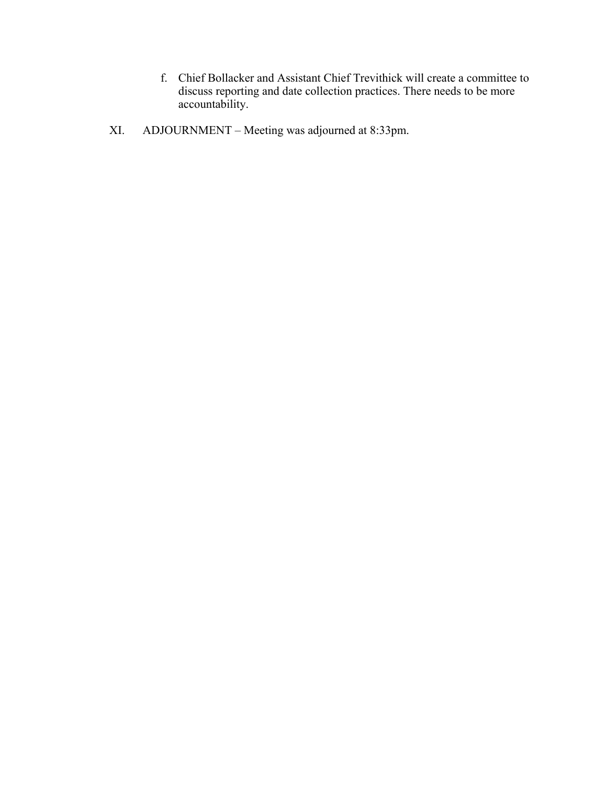- f. Chief Bollacker and Assistant Chief Trevithick will create a committee to discuss reporting and date collection practices. There needs to be more accountability.
- XI. ADJOURNMENT Meeting was adjourned at 8:33pm.